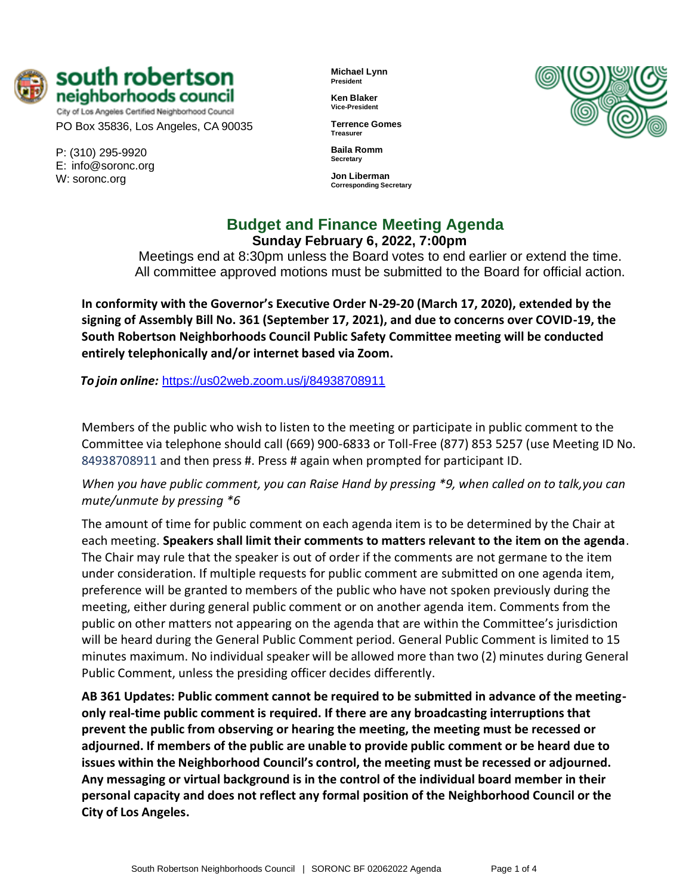

City of Los Angeles Certified Neighborhood Council PO Box 35836, Los Angeles, CA 90035

P: (310) 295-9920 E: [info@soronc.org](mailto:info@soronc.org) W: soronc.org

**Michael Lynn President**

**Ken Blaker Vice-President**

**Terrence Gomes Treasurer**

**Baila Romm Secretary**

**Jon Liberman Corresponding Secretary**



# **Budget and Finance Meeting Agenda Sunday February 6, 2022, 7:00pm**

Meetings end at 8:30pm unless the Board votes to end earlier or extend the time. All committee approved motions must be submitted to the Board for official action.

**In conformity with the Governor's Executive Order N-29-20 (March 17, 2020), extended by the signing of Assembly Bill No. 361 (September 17, 2021), and due to concerns over COVID-19, the South Robertson Neighborhoods Council Public Safety Committee meeting will be conducted entirely telephonically and/or internet based via Zoom.**

*To join online:* <https://us02web.zoom.us/j/84938708911>

Members of the public who wish to listen to the meeting or participate in public comment to the Committee via telephone should call (669) 900-6833 or Toll-Free (877) 853 5257 (use Meeting ID No. 84938708911 and then press #. Press # again when prompted for participant ID.

*When you have public comment, you can Raise Hand by pressing \*9, when called on to talk,you can mute/unmute by pressing \*6*

The amount of time for public comment on each agenda item is to be determined by the Chair at each meeting. **Speakers shall limit their comments to matters relevant to the item on the agenda**. The Chair may rule that the speaker is out of order if the comments are not germane to the item under consideration. If multiple requests for public comment are submitted on one agenda item, preference will be granted to members of the public who have not spoken previously during the meeting, either during general public comment or on another agenda item. Comments from the public on other matters not appearing on the agenda that are within the Committee's jurisdiction will be heard during the General Public Comment period. General Public Comment is limited to 15 minutes maximum. No individual speaker will be allowed more than two (2) minutes during General Public Comment, unless the presiding officer decides differently.

**AB 361 Updates: Public comment cannot be required to be submitted in advance of the meetingonly real-time public comment is required. If there are any broadcasting interruptions that prevent the public from observing or hearing the meeting, the meeting must be recessed or adjourned. If members of the public are unable to provide public comment or be heard due to issues within the Neighborhood Council's control, the meeting must be recessed or adjourned. Any messaging or virtual background is in the control of the individual board member in their personal capacity and does not reflect any formal position of the Neighborhood Council or the City of Los Angeles.**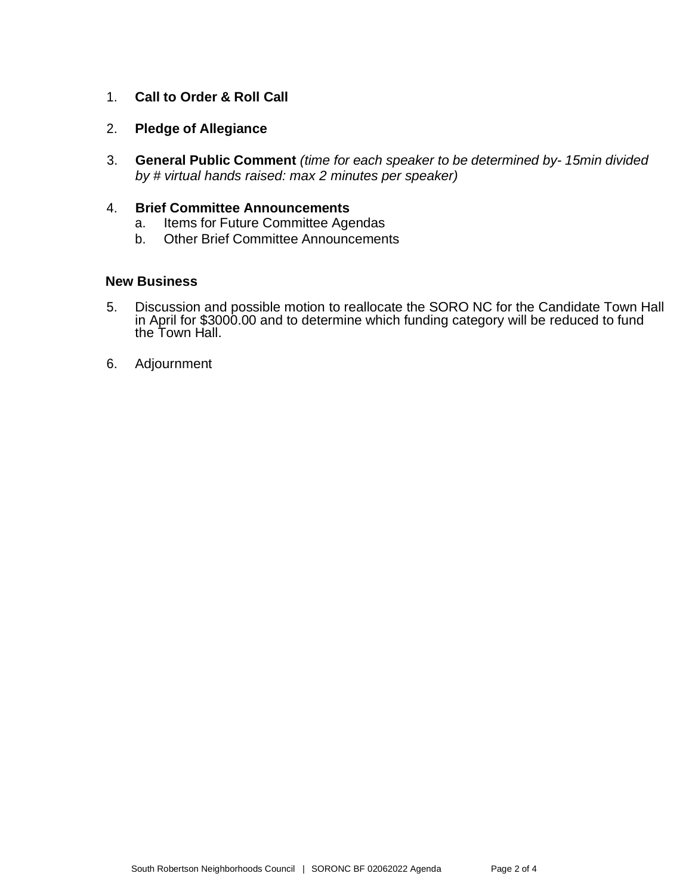- 1. **Call to Order & Roll Call**
- 2. **Pledge of Allegiance**
- 3. **General Public Comment** *(time for each speaker to be determined by- 15min divided by # virtual hands raised: max 2 minutes per speaker)*

#### 4. **Brief Committee Announcements**

- a. Items for Future Committee Agendas
- b. Other Brief Committee Announcements

#### **New Business**

- 5. Discussion and possible motion to reallocate the SORO NC for the Candidate Town Hall in April for \$3000.00 and to determine which funding category will be reduced to fund the Town Hall.
- 6. Adjournment